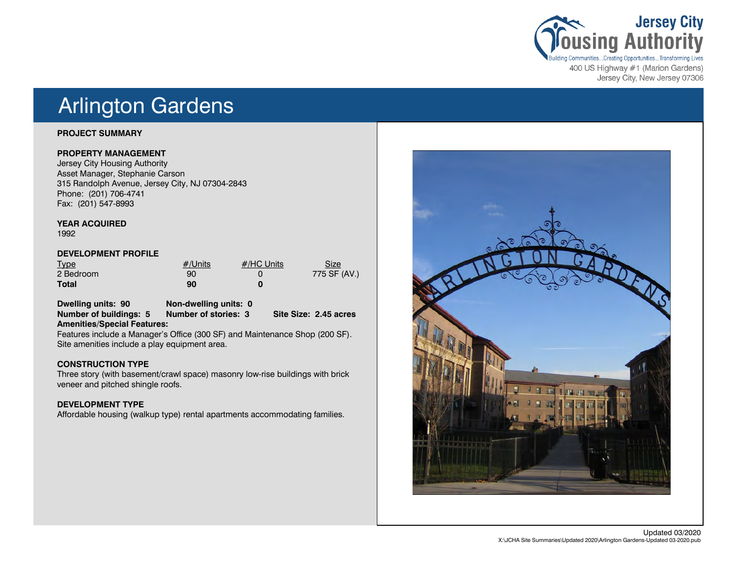

400 US Highway #1 (Marion Gardens) Jersey City, New Jersey 07306

## Arlington Gardens

### **PROJECT SUMMARY**

### **PROPERTY MANAGEMENT**

Jersey City Housing Authority Asset Manager, Stephanie Carson 315 Randolph Avenue, Jersey City, NJ 07304-2843 Phone: (201) 706-4741 Fax: (201) 547-8993

### **YEAR ACQUIRED**

1992

### **DEVELOPMENT PROFILE**

| <b>Type</b>  | $#/$ Units | #/HC Units | Size         |
|--------------|------------|------------|--------------|
| 2 Bedroom    | 90         |            | 775 SF (AV.) |
| <b>Total</b> | 90         |            |              |

**Dwelling units: 90 Non-dwelling units: 0 Number of buildings: 5 Number of stories: 3 Site Size: 2.45 acres Amenities/Special Features:**

Features include a Manager's Office (300 SF) and Maintenance Shop (200 SF). Site amenities include a play equipment area.

### **CONSTRUCTION TYPE**

Three story (with basement/crawl space) masonry low-rise buildings with brick veneer and pitched shingle roofs.

## **DEVELOPMENT TYPE**

Affordable housing (walkup type) rental apartments accommodating families.